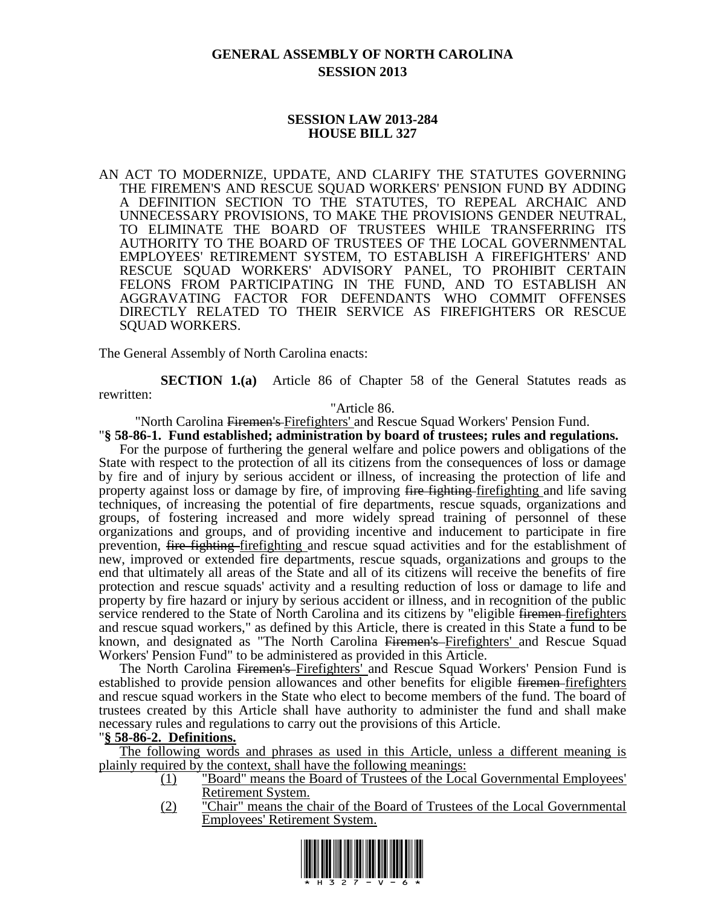# **GENERAL ASSEMBLY OF NORTH CAROLINA SESSION 2013**

### **SESSION LAW 2013-284 HOUSE BILL 327**

AN ACT TO MODERNIZE, UPDATE, AND CLARIFY THE STATUTES GOVERNING THE FIREMEN'S AND RESCUE SQUAD WORKERS' PENSION FUND BY ADDING A DEFINITION SECTION TO THE STATUTES, TO REPEAL ARCHAIC AND UNNECESSARY PROVISIONS, TO MAKE THE PROVISIONS GENDER NEUTRAL, TO ELIMINATE THE BOARD OF TRUSTEES WHILE TRANSFERRING ITS AUTHORITY TO THE BOARD OF TRUSTEES OF THE LOCAL GOVERNMENTAL EMPLOYEES' RETIREMENT SYSTEM, TO ESTABLISH A FIREFIGHTERS' AND RESCUE SQUAD WORKERS' ADVISORY PANEL, TO PROHIBIT CERTAIN FELONS FROM PARTICIPATING IN THE FUND, AND TO ESTABLISH AN AGGRAVATING FACTOR FOR DEFENDANTS WHO COMMIT OFFENSES DIRECTLY RELATED TO THEIR SERVICE AS FIREFIGHTERS OR RESCUE SQUAD WORKERS.

The General Assembly of North Carolina enacts:

**SECTION 1.(a)** Article 86 of Chapter 58 of the General Statutes reads as rewritten:

"Article 86.

"North Carolina Firemen's Firefighters' and Rescue Squad Workers' Pension Fund. "**§ 58-86-1. Fund established; administration by board of trustees; rules and regulations.**

For the purpose of furthering the general welfare and police powers and obligations of the State with respect to the protection of all its citizens from the consequences of loss or damage by fire and of injury by serious accident or illness, of increasing the protection of life and property against loss or damage by fire, of improving fire fighting firefighting and life saving techniques, of increasing the potential of fire departments, rescue squads, organizations and groups, of fostering increased and more widely spread training of personnel of these organizations and groups, and of providing incentive and inducement to participate in fire prevention, fire fighting firefighting and rescue squad activities and for the establishment of new, improved or extended fire departments, rescue squads, organizations and groups to the end that ultimately all areas of the State and all of its citizens will receive the benefits of fire protection and rescue squads' activity and a resulting reduction of loss or damage to life and property by fire hazard or injury by serious accident or illness, and in recognition of the public service rendered to the State of North Carolina and its citizens by "eligible <del>firemen firefighters</del> and rescue squad workers," as defined by this Article, there is created in this State a fund to be known, and designated as "The North Carolina Firemen's Firefighters' and Rescue Squad Workers' Pension Fund" to be administered as provided in this Article.

The North Carolina Firemen's Firefighters' and Rescue Squad Workers' Pension Fund is established to provide pension allowances and other benefits for eligible <del>firemen firefighters</del> and rescue squad workers in the State who elect to become members of the fund. The board of trustees created by this Article shall have authority to administer the fund and shall make necessary rules and regulations to carry out the provisions of this Article.

### "**§ 58-86-2. Definitions.**

The following words and phrases as used in this Article, unless a different meaning is plainly required by the context, shall have the following meanings:

- (1) "Board" means the Board of Trustees of the Local Governmental Employees' Retirement System.
- (2) "Chair" means the chair of the Board of Trustees of the Local Governmental Employees' Retirement System.

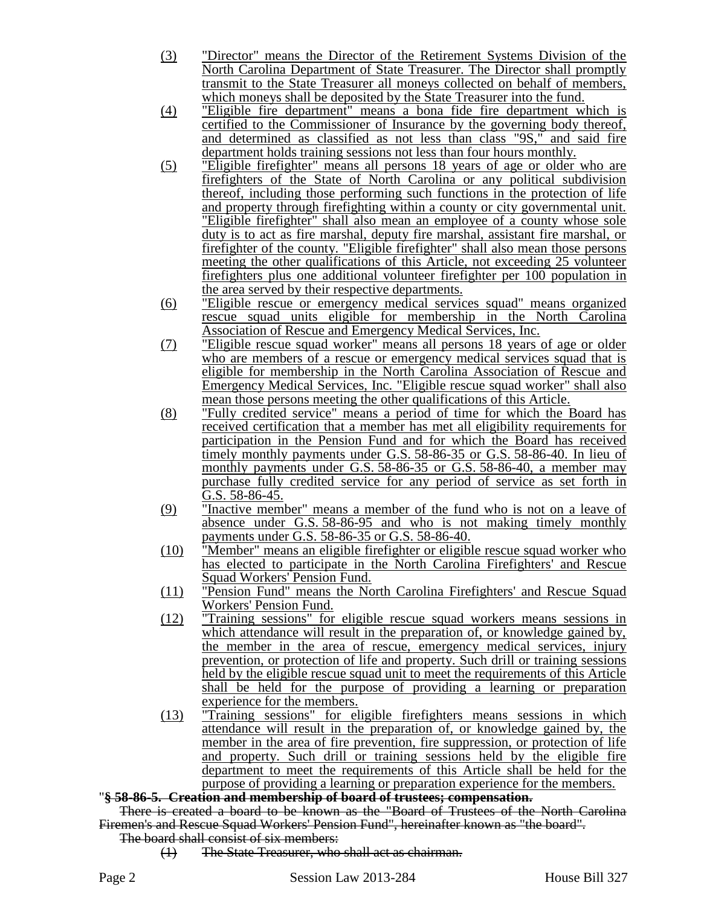- (3) "Director" means the Director of the Retirement Systems Division of the North Carolina Department of State Treasurer. The Director shall promptly transmit to the State Treasurer all moneys collected on behalf of members, which moneys shall be deposited by the State Treasurer into the fund.
- (4) "Eligible fire department" means a bona fide fire department which is certified to the Commissioner of Insurance by the governing body thereof, and determined as classified as not less than class "9S," and said fire department holds training sessions not less than four hours monthly.
- (5) "Eligible firefighter" means all persons 18 years of age or older who are firefighters of the State of North Carolina or any political subdivision thereof, including those performing such functions in the protection of life and property through firefighting within a county or city governmental unit. "Eligible firefighter" shall also mean an employee of a county whose sole duty is to act as fire marshal, deputy fire marshal, assistant fire marshal, or firefighter of the county. "Eligible firefighter" shall also mean those persons meeting the other qualifications of this Article, not exceeding 25 volunteer firefighters plus one additional volunteer firefighter per 100 population in the area served by their respective departments.
- (6) "Eligible rescue or emergency medical services squad" means organized rescue squad units eligible for membership in the North Carolina Association of Rescue and Emergency Medical Services, Inc.
- (7) "Eligible rescue squad worker" means all persons 18 years of age or older who are members of a rescue or emergency medical services squad that is eligible for membership in the North Carolina Association of Rescue and Emergency Medical Services, Inc. "Eligible rescue squad worker" shall also mean those persons meeting the other qualifications of this Article.
- (8) "Fully credited service" means a period of time for which the Board has received certification that a member has met all eligibility requirements for participation in the Pension Fund and for which the Board has received timely monthly payments under G.S. 58-86-35 or G.S. 58-86-40. In lieu of monthly payments under G.S. 58-86-35 or G.S. 58-86-40, a member may purchase fully credited service for any period of service as set forth in G.S. 58-86-45.
- (9) "Inactive member" means a member of the fund who is not on a leave of absence under G.S. 58-86-95 and who is not making timely monthly payments under G.S. 58-86-35 or G.S. 58-86-40.
- (10) "Member" means an eligible firefighter or eligible rescue squad worker who has elected to participate in the North Carolina Firefighters' and Rescue Squad Workers' Pension Fund.
- (11) "Pension Fund" means the North Carolina Firefighters' and Rescue Squad Workers' Pension Fund.
- (12) "Training sessions" for eligible rescue squad workers means sessions in which attendance will result in the preparation of, or knowledge gained by, the member in the area of rescue, emergency medical services, injury prevention, or protection of life and property. Such drill or training sessions held by the eligible rescue squad unit to meet the requirements of this Article shall be held for the purpose of providing a learning or preparation experience for the members.
- (13) "Training sessions" for eligible firefighters means sessions in which attendance will result in the preparation of, or knowledge gained by, the member in the area of fire prevention, fire suppression, or protection of life and property. Such drill or training sessions held by the eligible fire department to meet the requirements of this Article shall be held for the purpose of providing a learning or preparation experience for the members.

### "**§ 58-86-5. Creation and membership of board of trustees; compensation.**

There is created a board to be known as the "Board of Trustees of the North Carolina Firemen's and Rescue Squad Workers' Pension Fund", hereinafter known as "the board".

The board shall consist of six members:

(1) The State Treasurer, who shall act as chairman.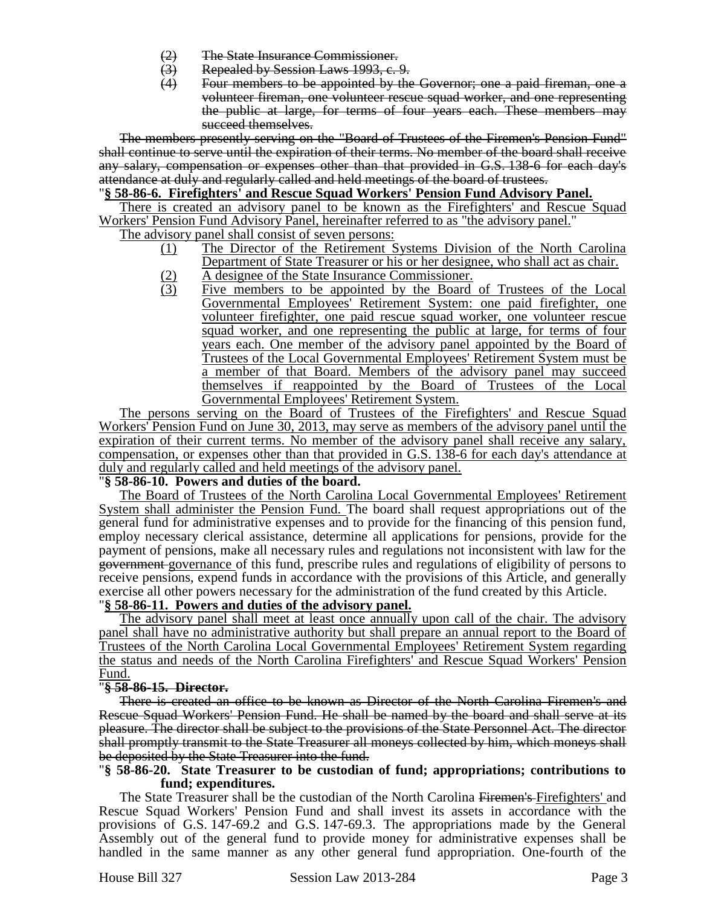- 
- (2) The State Insurance Commissioner.<br>(3) Repealed by Session Laws 1993, c. (3) Repealed by Session Laws 1993, c. 9.<br>(4) Four members to be appointed by the
- Four members to be appointed by the Governor; one a paid fireman, one a volunteer fireman, one volunteer rescue squad worker, and one representing the public at large, for terms of four years each. These members may succeed themselves.

The members presently serving on the "Board of Trustees of the Firemen's Pension Fund" shall continue to serve until the expiration of their terms. No member of the board shall receive any salary, compensation or expenses other than that provided in G.S. 138-6 for each day's attendance at duly and regularly called and held meetings of the board of trustees.

### "**§ 58-86-6. Firefighters' and Rescue Squad Workers' Pension Fund Advisory Panel.**

There is created an advisory panel to be known as the Firefighters' and Rescue Squad Workers' Pension Fund Advisory Panel, hereinafter referred to as "the advisory panel."

The advisory panel shall consist of seven persons:

- (1) The Director of the Retirement Systems Division of the North Carolina Department of State Treasurer or his or her designee, who shall act as chair.
- (2) A designee of the State Insurance Commissioner.<br>
(3) Five members to be appointed by the Board Five members to be appointed by the Board of Trustees of the Local Governmental Employees' Retirement System: one paid firefighter, one volunteer firefighter, one paid rescue squad worker, one volunteer rescue squad worker, and one representing the public at large, for terms of four years each. One member of the advisory panel appointed by the Board of Trustees of the Local Governmental Employees' Retirement System must be a member of that Board. Members of the advisory panel may succeed themselves if reappointed by the Board of Trustees of the Local Governmental Employees' Retirement System.

The persons serving on the Board of Trustees of the Firefighters' and Rescue Squad Workers' Pension Fund on June 30, 2013, may serve as members of the advisory panel until the expiration of their current terms. No member of the advisory panel shall receive any salary, compensation, or expenses other than that provided in G.S. 138-6 for each day's attendance at duly and regularly called and held meetings of the advisory panel.

### "**§ 58-86-10. Powers and duties of the board.**

The Board of Trustees of the North Carolina Local Governmental Employees' Retirement System shall administer the Pension Fund. The board shall request appropriations out of the general fund for administrative expenses and to provide for the financing of this pension fund, employ necessary clerical assistance, determine all applications for pensions, provide for the payment of pensions, make all necessary rules and regulations not inconsistent with law for the government governance of this fund, prescribe rules and regulations of eligibility of persons to receive pensions, expend funds in accordance with the provisions of this Article, and generally exercise all other powers necessary for the administration of the fund created by this Article.

## "**§ 58-86-11. Powers and duties of the advisory panel.**

The advisory panel shall meet at least once annually upon call of the chair. The advisory panel shall have no administrative authority but shall prepare an annual report to the Board of Trustees of the North Carolina Local Governmental Employees' Retirement System regarding the status and needs of the North Carolina Firefighters' and Rescue Squad Workers' Pension Fund.

### "**§ 58-86-15. Director.**

There is created an office to be known as Director of the North Carolina Firemen's and Rescue Squad Workers' Pension Fund. He shall be named by the board and shall serve at its pleasure. The director shall be subject to the provisions of the State Personnel Act. The director shall promptly transmit to the State Treasurer all moneys collected by him, which moneys shall be deposited by the State Treasurer into the fund.

### "**§ 58-86-20. State Treasurer to be custodian of fund; appropriations; contributions to fund; expenditures.**

The State Treasurer shall be the custodian of the North Carolina Firemen's Firefighters' and Rescue Squad Workers' Pension Fund and shall invest its assets in accordance with the provisions of G.S. 147-69.2 and G.S. 147-69.3. The appropriations made by the General Assembly out of the general fund to provide money for administrative expenses shall be handled in the same manner as any other general fund appropriation. One-fourth of the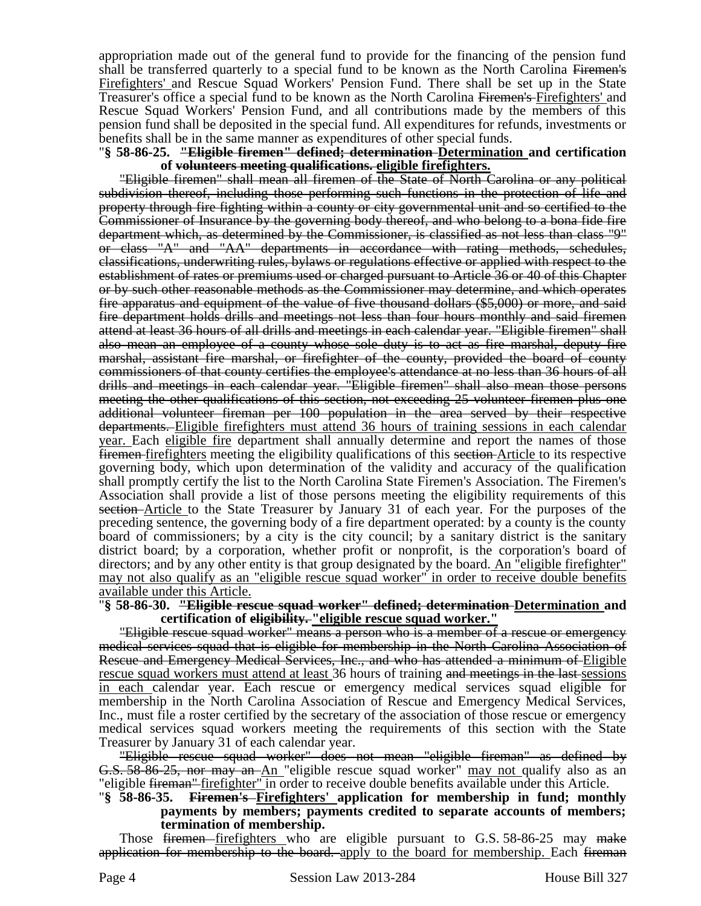appropriation made out of the general fund to provide for the financing of the pension fund shall be transferred quarterly to a special fund to be known as the North Carolina Firemen's Firefighters' and Rescue Squad Workers' Pension Fund. There shall be set up in the State Treasurer's office a special fund to be known as the North Carolina Firemen's Firefighters' and Rescue Squad Workers' Pension Fund, and all contributions made by the members of this pension fund shall be deposited in the special fund. All expenditures for refunds, investments or benefits shall be in the same manner as expenditures of other special funds.

#### "**§ 58-86-25. "Eligible firemen" defined; determination Determination and certification of volunteers meeting qualifications. eligible firefighters.**

"Eligible firemen" shall mean all firemen of the State of North Carolina or any political subdivision thereof, including those performing such functions in the protection of life and property through fire fighting within a county or city governmental unit and so certified to the Commissioner of Insurance by the governing body thereof, and who belong to a bona fide fire department which, as determined by the Commissioner, is classified as not less than class "9" or class "A" and "AA" departments in accordance with rating methods, schedules, classifications, underwriting rules, bylaws or regulations effective or applied with respect to the establishment of rates or premiums used or charged pursuant to Article 36 or 40 of this Chapter or by such other reasonable methods as the Commissioner may determine, and which operates fire apparatus and equipment of the value of five thousand dollars (\$5,000) or more, and said fire department holds drills and meetings not less than four hours monthly and said firemen attend at least 36 hours of all drills and meetings in each calendar year. "Eligible firemen" shall also mean an employee of a county whose sole duty is to act as fire marshal, deputy fire marshal, assistant fire marshal, or firefighter of the county, provided the board of county commissioners of that county certifies the employee's attendance at no less than 36 hours of all drills and meetings in each calendar year. "Eligible firemen" shall also mean those persons meeting the other qualifications of this section, not exceeding 25 volunteer firemen plus one additional volunteer fireman per 100 population in the area served by their respective departments. Eligible firefighters must attend 36 hours of training sessions in each calendar year. Each eligible fire department shall annually determine and report the names of those firemen firefighters meeting the eligibility qualifications of this section Article to its respective governing body, which upon determination of the validity and accuracy of the qualification shall promptly certify the list to the North Carolina State Firemen's Association. The Firemen's Association shall provide a list of those persons meeting the eligibility requirements of this section–Article to the State Treasurer by January 31 of each year. For the purposes of the preceding sentence, the governing body of a fire department operated: by a county is the county board of commissioners; by a city is the city council; by a sanitary district is the sanitary district board; by a corporation, whether profit or nonprofit, is the corporation's board of directors; and by any other entity is that group designated by the board. An "eligible firefighter" may not also qualify as an "eligible rescue squad worker" in order to receive double benefits available under this Article.

### "**§ 58-86-30. "Eligible rescue squad worker" defined; determination Determination and certification of eligibility. "eligible rescue squad worker."**

"Eligible rescue squad worker" means a person who is a member of a rescue or emergency medical services squad that is eligible for membership in the North Carolina Association of Rescue and Emergency Medical Services, Inc., and who has attended a minimum of Eligible rescue squad workers must attend at least 36 hours of training and meetings in the last sessions in each calendar year. Each rescue or emergency medical services squad eligible for membership in the North Carolina Association of Rescue and Emergency Medical Services, Inc., must file a roster certified by the secretary of the association of those rescue or emergency medical services squad workers meeting the requirements of this section with the State Treasurer by January 31 of each calendar year.

"Eligible rescue squad worker" does not mean "eligible fireman" as defined by G.S. 58-86-25, nor may an An "eligible rescue squad worker" may not qualify also as an "eligible fireman" firefighter" in order to receive double benefits available under this Article.

### "**§ 58-86-35. Firemen's Firefighters' application for membership in fund; monthly payments by members; payments credited to separate accounts of members; termination of membership.**

Those firemen firefighters who are eligible pursuant to G.S. 58-86-25 may make application for membership to the board. apply to the board for membership. Each fireman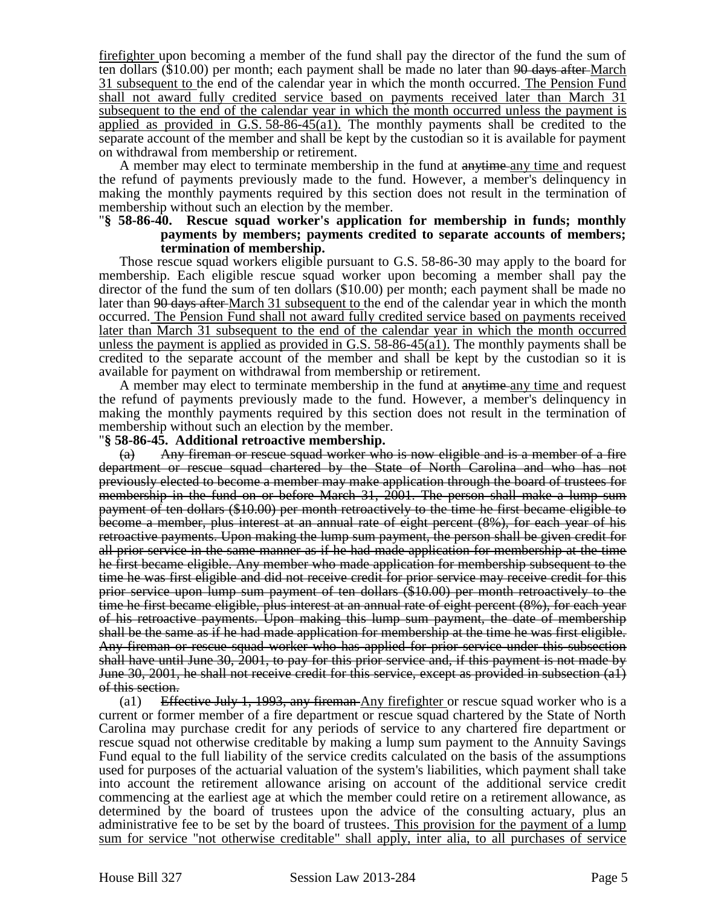firefighter upon becoming a member of the fund shall pay the director of the fund the sum of ten dollars (\$10.00) per month; each payment shall be made no later than  $90$  days after-March 31 subsequent to the end of the calendar year in which the month occurred. The Pension Fund shall not award fully credited service based on payments received later than March 31 subsequent to the end of the calendar year in which the month occurred unless the payment is applied as provided in G.S. 58-86-45(a1). The monthly payments shall be credited to the separate account of the member and shall be kept by the custodian so it is available for payment on withdrawal from membership or retirement.

A member may elect to terminate membership in the fund at anytime any time and request the refund of payments previously made to the fund. However, a member's delinquency in making the monthly payments required by this section does not result in the termination of membership without such an election by the member.

#### "**§ 58-86-40. Rescue squad worker's application for membership in funds; monthly payments by members; payments credited to separate accounts of members; termination of membership.**

Those rescue squad workers eligible pursuant to G.S. 58-86-30 may apply to the board for membership. Each eligible rescue squad worker upon becoming a member shall pay the director of the fund the sum of ten dollars (\$10.00) per month; each payment shall be made no later than <del>90 days after</del> March 31 subsequent to the end of the calendar year in which the month occurred. The Pension Fund shall not award fully credited service based on payments received later than March 31 subsequent to the end of the calendar year in which the month occurred unless the payment is applied as provided in G.S.  $58-86-45(a1)$ . The monthly payments shall be credited to the separate account of the member and shall be kept by the custodian so it is available for payment on withdrawal from membership or retirement.

A member may elect to terminate membership in the fund at anytime any time and request the refund of payments previously made to the fund. However, a member's delinquency in making the monthly payments required by this section does not result in the termination of membership without such an election by the member.

### "**§ 58-86-45. Additional retroactive membership.**

(a) Any fireman or rescue squad worker who is now eligible and is a member of a fire department or rescue squad chartered by the State of North Carolina and who has not previously elected to become a member may make application through the board of trustees for membership in the fund on or before March 31, 2001. The person shall make a lump sum payment of ten dollars (\$10.00) per month retroactively to the time he first became eligible to become a member, plus interest at an annual rate of eight percent (8%), for each year of his retroactive payments. Upon making the lump sum payment, the person shall be given credit for all prior service in the same manner as if he had made application for membership at the time he first became eligible. Any member who made application for membership subsequent to the time he was first eligible and did not receive credit for prior service may receive credit for this prior service upon lump sum payment of ten dollars (\$10.00) per month retroactively to the time he first became eligible, plus interest at an annual rate of eight percent (8%), for each year of his retroactive payments. Upon making this lump sum payment, the date of membership shall be the same as if he had made application for membership at the time he was first eligible. Any fireman or rescue squad worker who has applied for prior service under this subsection shall have until June 30, 2001, to pay for this prior service and, if this payment is not made by June 30, 2001, he shall not receive credit for this service, except as provided in subsection (a1) of this section.

(a1) Effective July 1, 1993, any fireman Any fire fighter or rescue squad worker who is a current or former member of a fire department or rescue squad chartered by the State of North Carolina may purchase credit for any periods of service to any chartered fire department or rescue squad not otherwise creditable by making a lump sum payment to the Annuity Savings Fund equal to the full liability of the service credits calculated on the basis of the assumptions used for purposes of the actuarial valuation of the system's liabilities, which payment shall take into account the retirement allowance arising on account of the additional service credit commencing at the earliest age at which the member could retire on a retirement allowance, as determined by the board of trustees upon the advice of the consulting actuary, plus an administrative fee to be set by the board of trustees. This provision for the payment of a lump sum for service "not otherwise creditable" shall apply, inter alia, to all purchases of service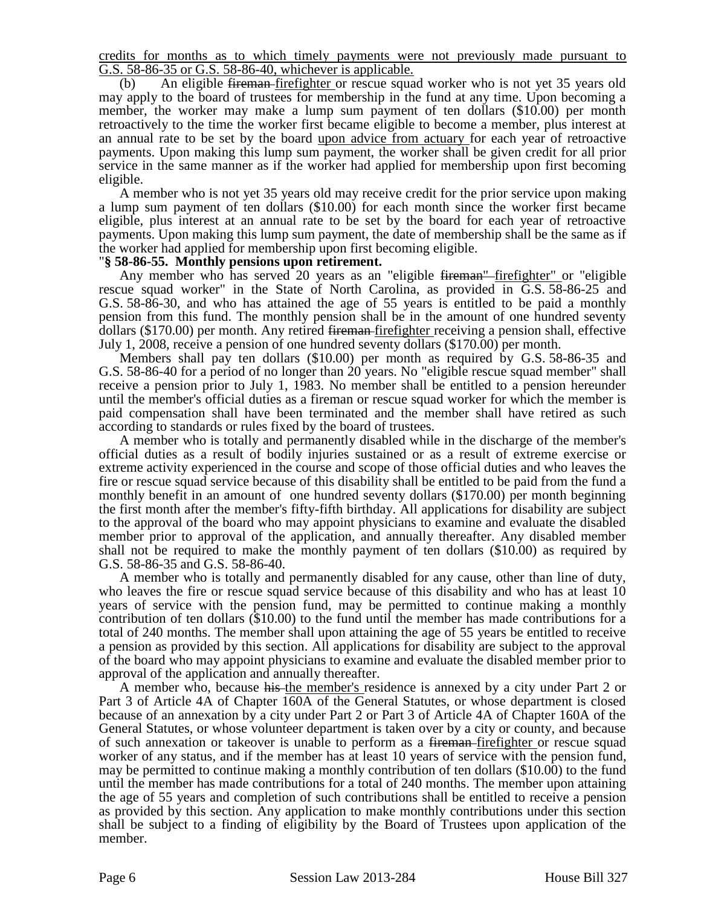credits for months as to which timely payments were not previously made pursuant to G.S. 58-86-35 or G.S. 58-86-40, whichever is applicable.

(b) An eligible fireman firefighter or rescue squad worker who is not yet 35 years old may apply to the board of trustees for membership in the fund at any time. Upon becoming a member, the worker may make a lump sum payment of ten dollars (\$10.00) per month retroactively to the time the worker first became eligible to become a member, plus interest at an annual rate to be set by the board upon advice from actuary for each year of retroactive payments. Upon making this lump sum payment, the worker shall be given credit for all prior service in the same manner as if the worker had applied for membership upon first becoming eligible.

A member who is not yet 35 years old may receive credit for the prior service upon making a lump sum payment of ten dollars (\$10.00) for each month since the worker first became eligible, plus interest at an annual rate to be set by the board for each year of retroactive payments. Upon making this lump sum payment, the date of membership shall be the same as if the worker had applied for membership upon first becoming eligible.

### "**§ 58-86-55. Monthly pensions upon retirement.**

Any member who has served 20 years as an "eligible <del>fireman"</del> firefighter" or "eligible rescue squad worker" in the State of North Carolina, as provided in G.S. 58-86-25 and G.S. 58-86-30, and who has attained the age of 55 years is entitled to be paid a monthly pension from this fund. The monthly pension shall be in the amount of one hundred seventy dollars (\$170.00) per month. Any retired fireman firefighter receiving a pension shall, effective July 1, 2008, receive a pension of one hundred seventy dollars (\$170.00) per month.

Members shall pay ten dollars (\$10.00) per month as required by G.S. 58-86-35 and G.S. 58-86-40 for a period of no longer than 20 years. No "eligible rescue squad member" shall receive a pension prior to July 1, 1983. No member shall be entitled to a pension hereunder until the member's official duties as a fireman or rescue squad worker for which the member is paid compensation shall have been terminated and the member shall have retired as such according to standards or rules fixed by the board of trustees.

A member who is totally and permanently disabled while in the discharge of the member's official duties as a result of bodily injuries sustained or as a result of extreme exercise or extreme activity experienced in the course and scope of those official duties and who leaves the fire or rescue squad service because of this disability shall be entitled to be paid from the fund a monthly benefit in an amount of one hundred seventy dollars (\$170.00) per month beginning the first month after the member's fifty-fifth birthday. All applications for disability are subject to the approval of the board who may appoint physicians to examine and evaluate the disabled member prior to approval of the application, and annually thereafter. Any disabled member shall not be required to make the monthly payment of ten dollars (\$10.00) as required by G.S. 58-86-35 and G.S. 58-86-40.

A member who is totally and permanently disabled for any cause, other than line of duty, who leaves the fire or rescue squad service because of this disability and who has at least 10 years of service with the pension fund, may be permitted to continue making a monthly contribution of ten dollars (\$10.00) to the fund until the member has made contributions for a total of 240 months. The member shall upon attaining the age of 55 years be entitled to receive a pension as provided by this section. All applications for disability are subject to the approval of the board who may appoint physicians to examine and evaluate the disabled member prior to approval of the application and annually thereafter.

A member who, because his the member's residence is annexed by a city under Part 2 or Part 3 of Article 4A of Chapter 160A of the General Statutes, or whose department is closed because of an annexation by a city under Part 2 or Part 3 of Article 4A of Chapter 160A of the General Statutes, or whose volunteer department is taken over by a city or county, and because of such annexation or takeover is unable to perform as a <del>fireman firefighter</del> or rescue squad worker of any status, and if the member has at least 10 years of service with the pension fund, may be permitted to continue making a monthly contribution of ten dollars (\$10.00) to the fund until the member has made contributions for a total of 240 months. The member upon attaining the age of 55 years and completion of such contributions shall be entitled to receive a pension as provided by this section. Any application to make monthly contributions under this section shall be subject to a finding of eligibility by the Board of Trustees upon application of the member.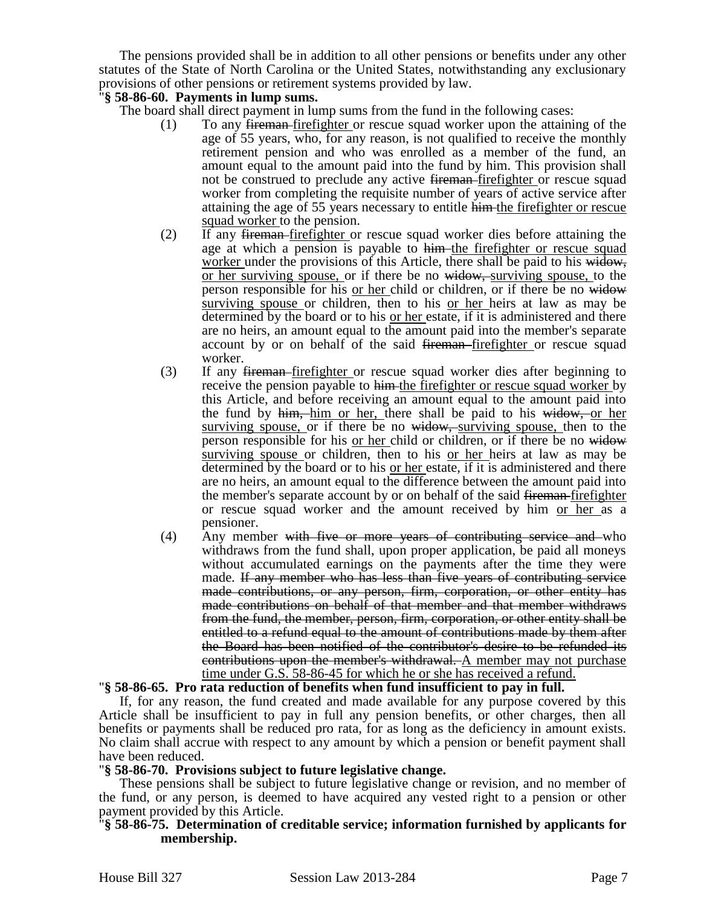The pensions provided shall be in addition to all other pensions or benefits under any other statutes of the State of North Carolina or the United States, notwithstanding any exclusionary provisions of other pensions or retirement systems provided by law.

### "**§ 58-86-60. Payments in lump sums.**

The board shall direct payment in lump sums from the fund in the following cases:

- (1) To any fireman firefighter or rescue squad worker upon the attaining of the age of 55 years, who, for any reason, is not qualified to receive the monthly retirement pension and who was enrolled as a member of the fund, an amount equal to the amount paid into the fund by him. This provision shall not be construed to preclude any active fireman-firefighter or rescue squad worker from completing the requisite number of years of active service after attaining the age of 55 years necessary to entitle him the firefighter or rescue squad worker to the pension.
- (2) If any fireman firefighter or rescue squad worker dies before attaining the age at which a pension is payable to him the firefighter or rescue squad worker under the provisions of this Article, there shall be paid to his widow, or her surviving spouse, or if there be no widow, surviving spouse, to the person responsible for his or her child or children, or if there be no widow surviving spouse or children, then to his or her heirs at law as may be determined by the board or to his or her estate, if it is administered and there are no heirs, an amount equal to the amount paid into the member's separate account by or on behalf of the said <del>fireman</del>-firefighter or rescue squad worker.
- (3) If any fireman firefighter or rescue squad worker dies after beginning to receive the pension payable to him the firefighter or rescue squad worker by this Article, and before receiving an amount equal to the amount paid into the fund by him, him or her, there shall be paid to his widow, or her surviving spouse, or if there be no widow, surviving spouse, then to the person responsible for his or her child or children, or if there be no widow surviving spouse or children, then to his or her heirs at law as may be determined by the board or to his or her estate, if it is administered and there are no heirs, an amount equal to the difference between the amount paid into the member's separate account by or on behalf of the said fireman-firefighter or rescue squad worker and the amount received by him or her as a pensioner.
- $(4)$  Any member with five or more years of contributing service and who withdraws from the fund shall, upon proper application, be paid all moneys without accumulated earnings on the payments after the time they were made. If any member who has less than five years of contributing service made contributions, or any person, firm, corporation, or other entity has made contributions on behalf of that member and that member withdraws from the fund, the member, person, firm, corporation, or other entity shall be entitled to a refund equal to the amount of contributions made by them after the Board has been notified of the contributor's desire to be refunded its contributions upon the member's withdrawal. A member may not purchase time under G.S. 58-86-45 for which he or she has received a refund.

## "**§ 58-86-65. Pro rata reduction of benefits when fund insufficient to pay in full.**

If, for any reason, the fund created and made available for any purpose covered by this Article shall be insufficient to pay in full any pension benefits, or other charges, then all benefits or payments shall be reduced pro rata, for as long as the deficiency in amount exists. No claim shall accrue with respect to any amount by which a pension or benefit payment shall have been reduced.

### "**§ 58-86-70. Provisions subject to future legislative change.**

These pensions shall be subject to future legislative change or revision, and no member of the fund, or any person, is deemed to have acquired any vested right to a pension or other payment provided by this Article.

### "**§ 58-86-75. Determination of creditable service; information furnished by applicants for membership.**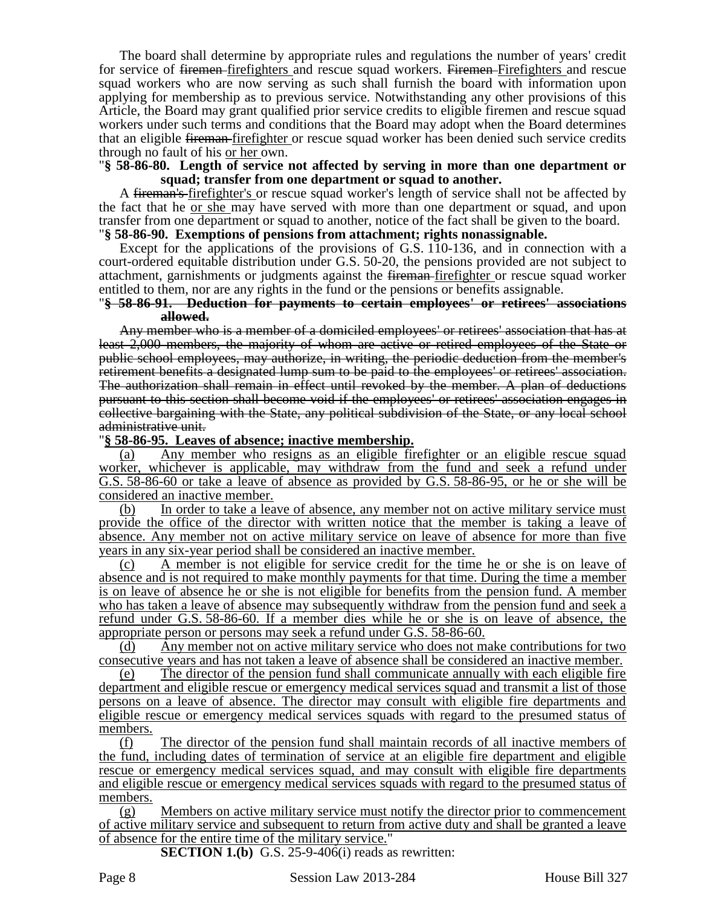The board shall determine by appropriate rules and regulations the number of years' credit for service of <del>firemen f</del>irefighters and rescue squad workers. Firemen-Firefighters and rescue squad workers who are now serving as such shall furnish the board with information upon applying for membership as to previous service. Notwithstanding any other provisions of this Article, the Board may grant qualified prior service credits to eligible firemen and rescue squad workers under such terms and conditions that the Board may adopt when the Board determines that an eligible fireman firefighter or rescue squad worker has been denied such service credits through no fault of his or her own.

### "**§ 58-86-80. Length of service not affected by serving in more than one department or squad; transfer from one department or squad to another.**

A fireman's-firefighter's or rescue squad worker's length of service shall not be affected by the fact that he or she may have served with more than one department or squad, and upon transfer from one department or squad to another, notice of the fact shall be given to the board. "**§ 58-86-90. Exemptions of pensions from attachment; rights nonassignable.**

Except for the applications of the provisions of G.S. 110-136, and in connection with a court-ordered equitable distribution under G.S. 50-20, the pensions provided are not subject to attachment, garnishments or judgments against the fireman firefighter or rescue squad worker entitled to them, nor are any rights in the fund or the pensions or benefits assignable.

#### "**§ 58-86-91. Deduction for payments to certain employees' or retirees' associations allowed.**

Any member who is a member of a domiciled employees' or retirees' association that has at least 2,000 members, the majority of whom are active or retired employees of the State or public school employees, may authorize, in writing, the periodic deduction from the member's retirement benefits a designated lump sum to be paid to the employees' or retirees' association. The authorization shall remain in effect until revoked by the member. A plan of deductions pursuant to this section shall become void if the employees' or retirees' association engages in collective bargaining with the State, any political subdivision of the State, or any local school administrative unit.

### "**§ 58-86-95. Leaves of absence; inactive membership.**

(a) Any member who resigns as an eligible firefighter or an eligible rescue squad worker, whichever is applicable, may withdraw from the fund and seek a refund under G.S. 58-86-60 or take a leave of absence as provided by G.S. 58-86-95, or he or she will be considered an inactive member.

(b) In order to take a leave of absence, any member not on active military service must provide the office of the director with written notice that the member is taking a leave of absence. Any member not on active military service on leave of absence for more than five years in any six-year period shall be considered an inactive member.

(c) A member is not eligible for service credit for the time he or she is on leave of absence and is not required to make monthly payments for that time. During the time a member is on leave of absence he or she is not eligible for benefits from the pension fund. A member who has taken a leave of absence may subsequently withdraw from the pension fund and seek a refund under G.S. 58-86-60. If a member dies while he or she is on leave of absence, the appropriate person or persons may seek a refund under G.S. 58-86-60.

(d) Any member not on active military service who does not make contributions for two consecutive years and has not taken a leave of absence shall be considered an inactive member.

(e) The director of the pension fund shall communicate annually with each eligible fire department and eligible rescue or emergency medical services squad and transmit a list of those persons on a leave of absence. The director may consult with eligible fire departments and eligible rescue or emergency medical services squads with regard to the presumed status of members.

(f) The director of the pension fund shall maintain records of all inactive members of the fund, including dates of termination of service at an eligible fire department and eligible rescue or emergency medical services squad, and may consult with eligible fire departments and eligible rescue or emergency medical services squads with regard to the presumed status of members.

(g) Members on active military service must notify the director prior to commencement of active military service and subsequent to return from active duty and shall be granted a leave of absence for the entire time of the military service."

**SECTION 1.(b)** G.S. 25-9-406(i) reads as rewritten:

Page 8 Session Law 2013-284 House Bill 327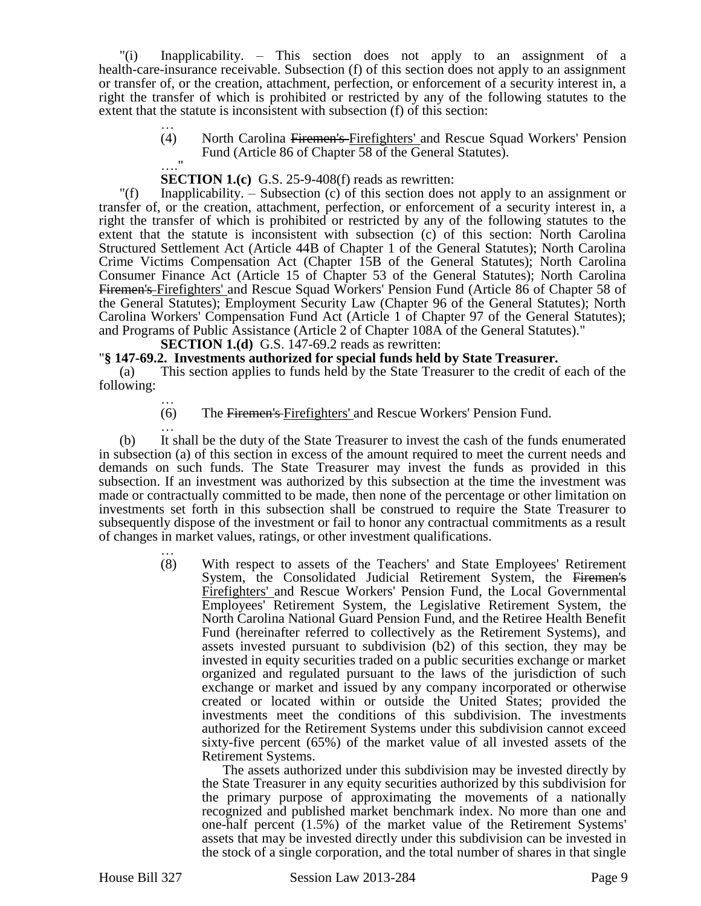"(i) Inapplicability. – This section does not apply to an assignment of a health-care-insurance receivable. Subsection (f) of this section does not apply to an assignment or transfer of, or the creation, attachment, perfection, or enforcement of a security interest in, a right the transfer of which is prohibited or restricted by any of the following statutes to the extent that the statute is inconsistent with subsection (f) of this section:

> … (4) North Carolina Firemen's Firefighters' and Rescue Squad Workers' Pension Fund (Article 86 of Chapter 58 of the General Statutes).  $\mathbf{u}$

### **SECTION 1.(c)** G.S. 25-9-408(f) reads as rewritten:

"(f) Inapplicability. – Subsection (c) of this section does not apply to an assignment or transfer of, or the creation, attachment, perfection, or enforcement of a security interest in, a right the transfer of which is prohibited or restricted by any of the following statutes to the extent that the statute is inconsistent with subsection (c) of this section: North Carolina Structured Settlement Act (Article 44B of Chapter 1 of the General Statutes); North Carolina Crime Victims Compensation Act (Chapter 15B of the General Statutes); North Carolina Consumer Finance Act (Article 15 of Chapter 53 of the General Statutes); North Carolina Firemen's Firefighters' and Rescue Squad Workers' Pension Fund (Article 86 of Chapter 58 of the General Statutes); Employment Security Law (Chapter 96 of the General Statutes); North Carolina Workers' Compensation Fund Act (Article 1 of Chapter 97 of the General Statutes); and Programs of Public Assistance (Article 2 of Chapter 108A of the General Statutes)."

**SECTION 1.(d)** G.S. 147-69.2 reads as rewritten:

### "**§ 147-69.2. Investments authorized for special funds held by State Treasurer.**

(a) This section applies to funds held by the State Treasurer to the credit of each of the following:

… (6) The Firemen's Firefighters' and Rescue Workers' Pension Fund.

… (b) It shall be the duty of the State Treasurer to invest the cash of the funds enumerated in subsection (a) of this section in excess of the amount required to meet the current needs and demands on such funds. The State Treasurer may invest the funds as provided in this subsection. If an investment was authorized by this subsection at the time the investment was made or contractually committed to be made, then none of the percentage or other limitation on investments set forth in this subsection shall be construed to require the State Treasurer to subsequently dispose of the investment or fail to honor any contractual commitments as a result of changes in market values, ratings, or other investment qualifications.

> … (8) With respect to assets of the Teachers' and State Employees' Retirement System, the Consolidated Judicial Retirement System, the Firemen's Firefighters' and Rescue Workers' Pension Fund, the Local Governmental Employees' Retirement System, the Legislative Retirement System, the North Carolina National Guard Pension Fund, and the Retiree Health Benefit Fund (hereinafter referred to collectively as the Retirement Systems), and assets invested pursuant to subdivision (b2) of this section, they may be invested in equity securities traded on a public securities exchange or market organized and regulated pursuant to the laws of the jurisdiction of such exchange or market and issued by any company incorporated or otherwise created or located within or outside the United States; provided the investments meet the conditions of this subdivision. The investments authorized for the Retirement Systems under this subdivision cannot exceed sixty-five percent (65%) of the market value of all invested assets of the Retirement Systems.

The assets authorized under this subdivision may be invested directly by the State Treasurer in any equity securities authorized by this subdivision for the primary purpose of approximating the movements of a nationally recognized and published market benchmark index. No more than one and one-half percent (1.5%) of the market value of the Retirement Systems' assets that may be invested directly under this subdivision can be invested in the stock of a single corporation, and the total number of shares in that single

House Bill 327 Session Law 2013-284 Page 9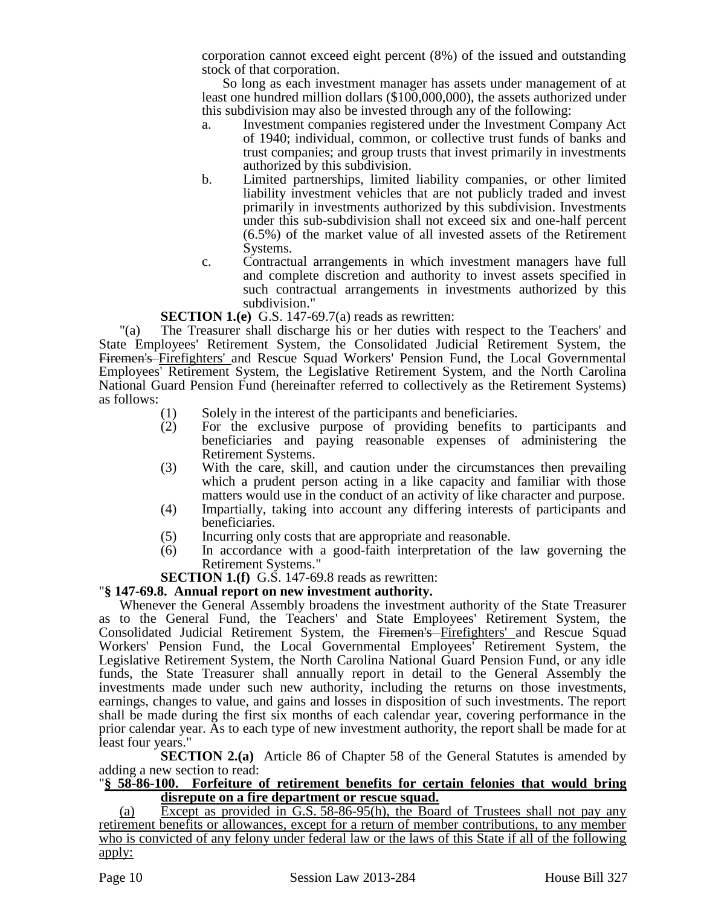corporation cannot exceed eight percent (8%) of the issued and outstanding stock of that corporation.

So long as each investment manager has assets under management of at least one hundred million dollars (\$100,000,000), the assets authorized under this subdivision may also be invested through any of the following:

- a. Investment companies registered under the Investment Company Act of 1940; individual, common, or collective trust funds of banks and trust companies; and group trusts that invest primarily in investments authorized by this subdivision.
- b. Limited partnerships, limited liability companies, or other limited liability investment vehicles that are not publicly traded and invest primarily in investments authorized by this subdivision. Investments under this sub-subdivision shall not exceed six and one-half percent (6.5%) of the market value of all invested assets of the Retirement Systems.
- c. Contractual arrangements in which investment managers have full and complete discretion and authority to invest assets specified in such contractual arrangements in investments authorized by this subdivision."

### **SECTION 1.(e)** G.S. 147-69.7(a) reads as rewritten:

"(a) The Treasurer shall discharge his or her duties with respect to the Teachers' and State Employees' Retirement System, the Consolidated Judicial Retirement System, the Firemen's Firefighters' and Rescue Squad Workers' Pension Fund, the Local Governmental Employees' Retirement System, the Legislative Retirement System, and the North Carolina National Guard Pension Fund (hereinafter referred to collectively as the Retirement Systems) as follows:

- (1) Solely in the interest of the participants and beneficiaries.
- (2) For the exclusive purpose of providing benefits to participants and beneficiaries and paying reasonable expenses of administering the Retirement Systems.
- (3) With the care, skill, and caution under the circumstances then prevailing which a prudent person acting in a like capacity and familiar with those matters would use in the conduct of an activity of like character and purpose.
- (4) Impartially, taking into account any differing interests of participants and beneficiaries.
- (5) Incurring only costs that are appropriate and reasonable.
- (6) In accordance with a good-faith interpretation of the law governing the Retirement Systems."

## **SECTION 1.(f)** G.S. 147-69.8 reads as rewritten:

## "**§ 147-69.8. Annual report on new investment authority.**

Whenever the General Assembly broadens the investment authority of the State Treasurer as to the General Fund, the Teachers' and State Employees' Retirement System, the Consolidated Judicial Retirement System, the Firemen's Firefighters' and Rescue Squad Workers' Pension Fund, the Local Governmental Employees' Retirement System, the Legislative Retirement System, the North Carolina National Guard Pension Fund, or any idle funds, the State Treasurer shall annually report in detail to the General Assembly the investments made under such new authority, including the returns on those investments, earnings, changes to value, and gains and losses in disposition of such investments. The report shall be made during the first six months of each calendar year, covering performance in the prior calendar year. As to each type of new investment authority, the report shall be made for at least four years."

**SECTION 2.(a)** Article 86 of Chapter 58 of the General Statutes is amended by adding a new section to read:

### "**§ 58-86-100. Forfeiture of retirement benefits for certain felonies that would bring disrepute on a fire department or rescue squad.**

(a) Except as provided in G.S. 58-86-95(h), the Board of Trustees shall not pay any retirement benefits or allowances, except for a return of member contributions, to any member who is convicted of any felony under federal law or the laws of this State if all of the following apply: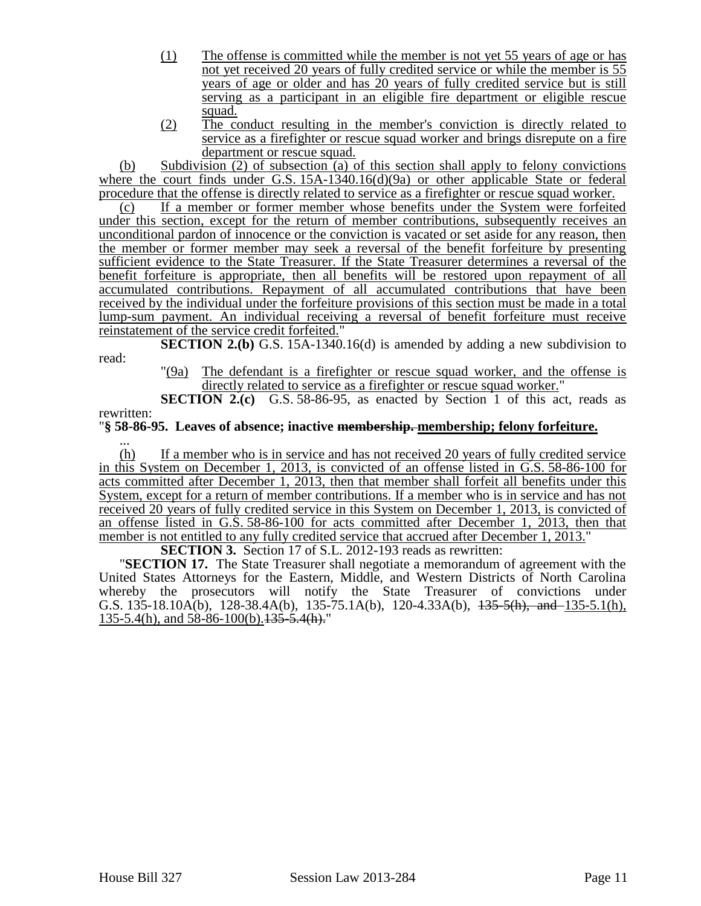- (1) The offense is committed while the member is not yet 55 years of age or has not yet received 20 years of fully credited service or while the member is 55 years of age or older and has 20 years of fully credited service but is still serving as a participant in an eligible fire department or eligible rescue squad.
- (2) The conduct resulting in the member's conviction is directly related to service as a firefighter or rescue squad worker and brings disrepute on a fire department or rescue squad.

(b) Subdivision (2) of subsection (a) of this section shall apply to felony convictions where the court finds under G.S. 15A-1340.16(d)(9a) or other applicable State or federal procedure that the offense is directly related to service as a firefighter or rescue squad worker.

(c) If a member or former member whose benefits under the System were forfeited under this section, except for the return of member contributions, subsequently receives an unconditional pardon of innocence or the conviction is vacated or set aside for any reason, then the member or former member may seek a reversal of the benefit forfeiture by presenting sufficient evidence to the State Treasurer. If the State Treasurer determines a reversal of the benefit forfeiture is appropriate, then all benefits will be restored upon repayment of all accumulated contributions. Repayment of all accumulated contributions that have been received by the individual under the forfeiture provisions of this section must be made in a total lump-sum payment. An individual receiving a reversal of benefit forfeiture must receive reinstatement of the service credit forfeited."

**SECTION 2.(b)** G.S. 15A-1340.16(d) is amended by adding a new subdivision to read:

"(9a) The defendant is a firefighter or rescue squad worker, and the offense is directly related to service as a firefighter or rescue squad worker."

**SECTION 2.(c)** G.S. 58-86-95, as enacted by Section 1 of this act, reads as rewritten:

# "**§ 58-86-95. Leaves of absence; inactive membership. membership; felony forfeiture.**

... (h) If a member who is in service and has not received 20 years of fully credited service in this System on December 1, 2013, is convicted of an offense listed in G.S. 58-86-100 for acts committed after December 1, 2013, then that member shall forfeit all benefits under this System, except for a return of member contributions. If a member who is in service and has not received 20 years of fully credited service in this System on December 1, 2013, is convicted of an offense listed in G.S. 58-86-100 for acts committed after December 1, 2013, then that member is not entitled to any fully credited service that accrued after December 1, 2013.

**SECTION 3.** Section 17 of S.L. 2012-193 reads as rewritten:

"**SECTION 17.** The State Treasurer shall negotiate a memorandum of agreement with the United States Attorneys for the Eastern, Middle, and Western Districts of North Carolina whereby the prosecutors will notify the State Treasurer of convictions under G.S. 135-18.10A(b), 128-38.4A(b), 135-75.1A(b), 120-4.33A(b),  $\frac{135-5(h)}{h}$ , and  $\frac{135-5.1(h)}{h}$ 135-5.4(h), and 58-86-100(b). 135-5.4(h)."